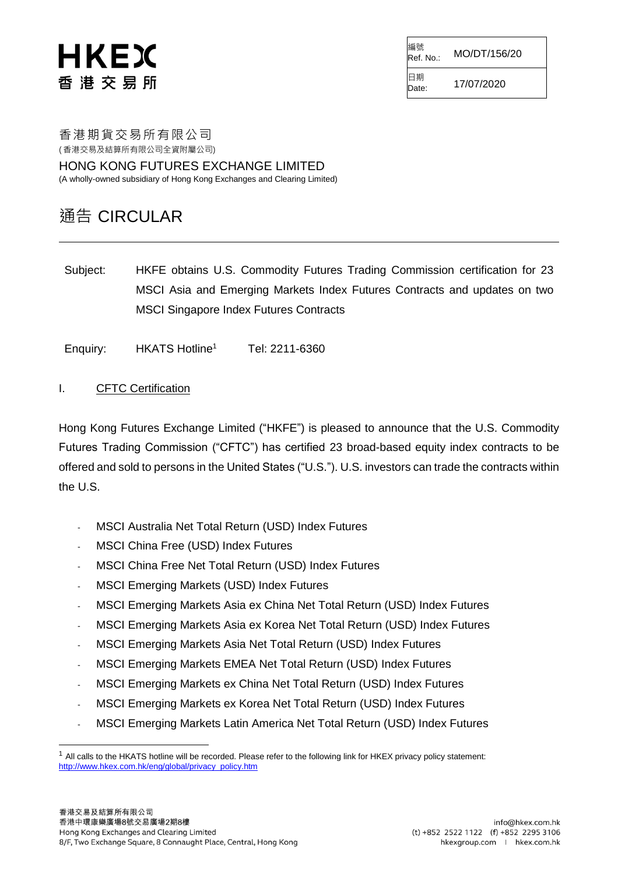# HKEX 香 港 交 易 所

編號<br>Ref. No.: Ref. No.: MO/DT/156/20 日期

 $D_{\text{late}}$  17/07/2020

香港期貨交易所有限公司 ( 香港交易及結算所有限公司全資附屬公司)

HONG KONG FUTURES EXCHANGE LIMITED (A wholly-owned subsidiary of Hong Kong Exchanges and Clearing Limited)

### 通告 CIRCULAR

Subject: HKFE obtains U.S. Commodity Futures Trading Commission certification for 23 MSCI Asia and Emerging Markets Index Futures Contracts and updates on two MSCI Singapore Index Futures Contracts

Enquiry: HKATS Hotline<sup>1</sup> Tel: 2211-6360

### I. CFTC Certification

Hong Kong Futures Exchange Limited ("HKFE") is pleased to announce that the U.S. Commodity Futures Trading Commission ("CFTC") has certified 23 broad-based equity index contracts to be offered and sold to persons in the United States ("U.S."). U.S. investors can trade the contracts within the U.S.

- MSCI Australia Net Total Return (USD) Index Futures
- MSCI China Free (USD) Index Futures
- MSCI China Free Net Total Return (USD) Index Futures
- MSCI Emerging Markets (USD) Index Futures
- MSCI Emerging Markets Asia ex China Net Total Return (USD) Index Futures
- MSCI Emerging Markets Asia ex Korea Net Total Return (USD) Index Futures
- MSCI Emerging Markets Asia Net Total Return (USD) Index Futures
- MSCI Emerging Markets EMEA Net Total Return (USD) Index Futures
- MSCI Emerging Markets ex China Net Total Return (USD) Index Futures
- MSCI Emerging Markets ex Korea Net Total Return (USD) Index Futures
- MSCI Emerging Markets Latin America Net Total Return (USD) Index Futures

l

 $1$  All calls to the HKATS hotline will be recorded. Please refer to the following link for HKEX privacy policy statement: [http://www.hkex.com.hk/eng/global/privacy\\_policy.htm](http://www.hkex.com.hk/eng/global/privacy_policy.htm)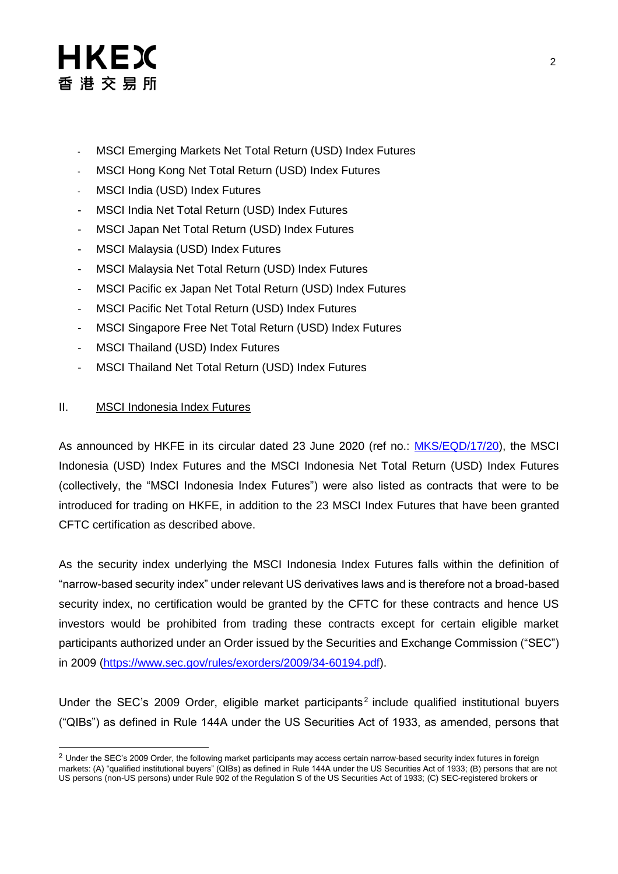### HKEX 香 港 交 易 所

- MSCI Emerging Markets Net Total Return (USD) Index Futures
- MSCI Hong Kong Net Total Return (USD) Index Futures
- MSCI India (USD) Index Futures
- MSCI India Net Total Return (USD) Index Futures
- MSCI Japan Net Total Return (USD) Index Futures
- MSCI Malaysia (USD) Index Futures
- MSCI Malaysia Net Total Return (USD) Index Futures
- MSCI Pacific ex Japan Net Total Return (USD) Index Futures
- MSCI Pacific Net Total Return (USD) Index Futures
- MSCI Singapore Free Net Total Return (USD) Index Futures
- MSCI Thailand (USD) Index Futures
- MSCI Thailand Net Total Return (USD) Index Futures

#### II. MSCI Indonesia Index Futures

l

As announced by HKFE in its circular dated 23 June 2020 (ref no.: [MKS/EQD/17/20\)](https://www.hkex.com.hk/-/media/HKEX-Market/Services/Circulars-and-Notices/Participant-and-Members-Circulars/HKFE/2020/MKS_EQD_17_20_e.pdf), the MSCI Indonesia (USD) Index Futures and the MSCI Indonesia Net Total Return (USD) Index Futures (collectively, the "MSCI Indonesia Index Futures") were also listed as contracts that were to be introduced for trading on HKFE, in addition to the 23 MSCI Index Futures that have been granted CFTC certification as described above.

As the security index underlying the MSCI Indonesia Index Futures falls within the definition of "narrow-based security index" under relevant US derivatives laws and is therefore not a broad-based security index, no certification would be granted by the CFTC for these contracts and hence US investors would be prohibited from trading these contracts except for certain eligible market participants authorized under an Order issued by the Securities and Exchange Commission ("SEC") in 2009 [\(https://www.sec.gov/rules/exorders/2009/34-60194.pdf\)](https://www.sec.gov/rules/exorders/2009/34-60194.pdf).

Under the SEC's 2009 Order, eligible market participants<sup>2</sup> include qualified institutional buyers ("QIBs") as defined in Rule 144A under the US Securities Act of 1933, as amended, persons that

<sup>&</sup>lt;sup>2</sup> Under the SEC's 2009 Order, the following market participants may access certain narrow-based security index futures in foreign markets: (A) "qualified institutional buyers" (QIBs) as defined in Rule 144A under the US Securities Act of 1933; (B) persons that are not US persons (non-US persons) under Rule 902 of the Regulation S of the US Securities Act of 1933; (C) SEC-registered brokers or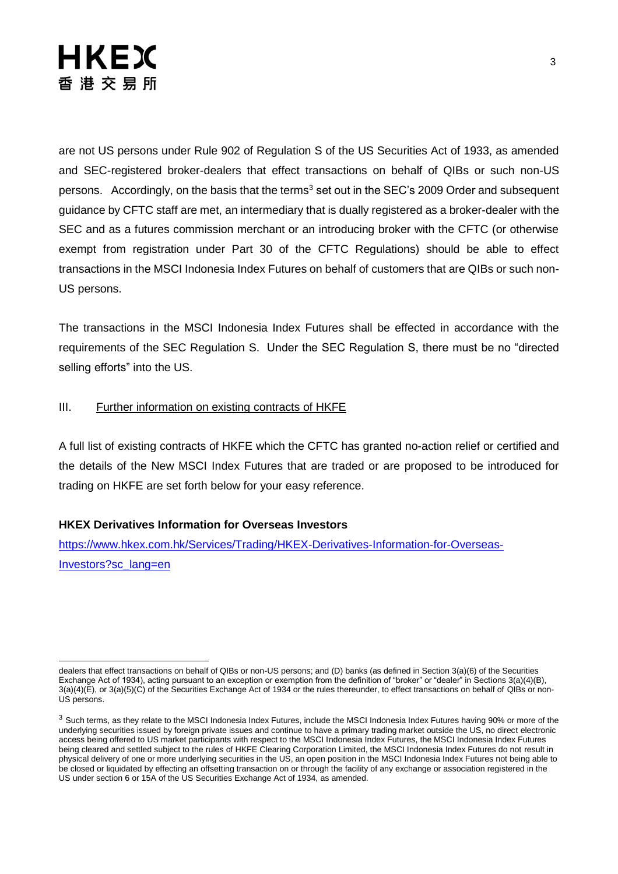## HKEX 香港交易所

are not US persons under Rule 902 of Regulation S of the US Securities Act of 1933, as amended and SEC-registered broker-dealers that effect transactions on behalf of QIBs or such non-US persons. Accordingly, on the basis that the terms<sup>3</sup> set out in the SEC's 2009 Order and subsequent guidance by CFTC staff are met, an intermediary that is dually registered as a broker-dealer with the SEC and as a futures commission merchant or an introducing broker with the CFTC (or otherwise exempt from registration under Part 30 of the CFTC Regulations) should be able to effect transactions in the MSCI Indonesia Index Futures on behalf of customers that are QIBs or such non-US persons.

The transactions in the MSCI Indonesia Index Futures shall be effected in accordance with the requirements of the SEC Regulation S. Under the SEC Regulation S, there must be no "directed selling efforts" into the US.

#### III. Further information on existing contracts of HKFE

A full list of existing contracts of HKFE which the CFTC has granted no-action relief or certified and the details of the New MSCI Index Futures that are traded or are proposed to be introduced for trading on HKFE are set forth below for your easy reference.

#### **HKEX Derivatives Information for Overseas Investors**

[https://www.hkex.com.hk/Services/Trading/HKEX-Derivatives-Information-for-Overseas-](https://www.hkex.com.hk/Services/Trading/HKEX-Derivatives-Information-for-Overseas-Investors?sc_lang=en)[Investors?sc\\_lang=en](https://www.hkex.com.hk/Services/Trading/HKEX-Derivatives-Information-for-Overseas-Investors?sc_lang=en)

l dealers that effect transactions on behalf of QIBs or non-US persons; and (D) banks (as defined in Section 3(a)(6) of the Securities Exchange Act of 1934), acting pursuant to an exception or exemption from the definition of "broker" or "dealer" in Sections 3(a)(4)(B), 3(a)(4)(E), or 3(a)(5)(C) of the Securities Exchange Act of 1934 or the rules thereunder, to effect transactions on behalf of QIBs or non-US persons.

 $3$  Such terms, as they relate to the MSCI Indonesia Index Futures, include the MSCI Indonesia Index Futures having 90% or more of the underlying securities issued by foreign private issues and continue to have a primary trading market outside the US, no direct electronic access being offered to US market participants with respect to the MSCI Indonesia Index Futures, the MSCI Indonesia Index Futures being cleared and settled subject to the rules of HKFE Clearing Corporation Limited, the MSCI Indonesia Index Futures do not result in physical delivery of one or more underlying securities in the US, an open position in the MSCI Indonesia Index Futures not being able to be closed or liquidated by effecting an offsetting transaction on or through the facility of any exchange or association registered in the US under section 6 or 15A of the US Securities Exchange Act of 1934, as amended.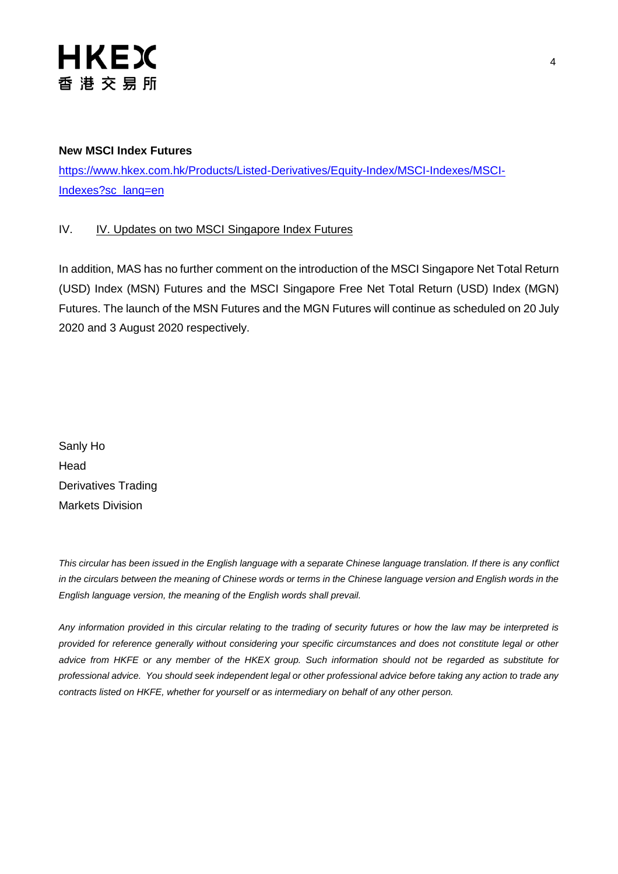

#### **New MSCI Index Futures**

[https://www.hkex.com.hk/Products/Listed-Derivatives/Equity-Index/MSCI-Indexes/MSCI-](https://www.hkex.com.hk/Products/Listed-Derivatives/Equity-Index/MSCI-Indexes/MSCI-Indexes?sc_lang=en)[Indexes?sc\\_lang=en](https://www.hkex.com.hk/Products/Listed-Derivatives/Equity-Index/MSCI-Indexes/MSCI-Indexes?sc_lang=en)

#### IV. IV. Updates on two MSCI Singapore Index Futures

In addition, MAS has no further comment on the introduction of the MSCI Singapore Net Total Return (USD) Index (MSN) Futures and the MSCI Singapore Free Net Total Return (USD) Index (MGN) Futures. The launch of the MSN Futures and the MGN Futures will continue as scheduled on 20 July 2020 and 3 August 2020 respectively.

Sanly Ho Head Derivatives Trading Markets Division

*This circular has been issued in the English language with a separate Chinese language translation. If there is any conflict*  in the circulars between the meaning of Chinese words or terms in the Chinese language version and English words in the *English language version, the meaning of the English words shall prevail.*

*Any information provided in this circular relating to the trading of security futures or how the law may be interpreted is provided for reference generally without considering your specific circumstances and does not constitute legal or other advice from HKFE or any member of the HKEX group. Such information should not be regarded as substitute for professional advice. You should seek independent legal or other professional advice before taking any action to trade any contracts listed on HKFE, whether for yourself or as intermediary on behalf of any other person.*